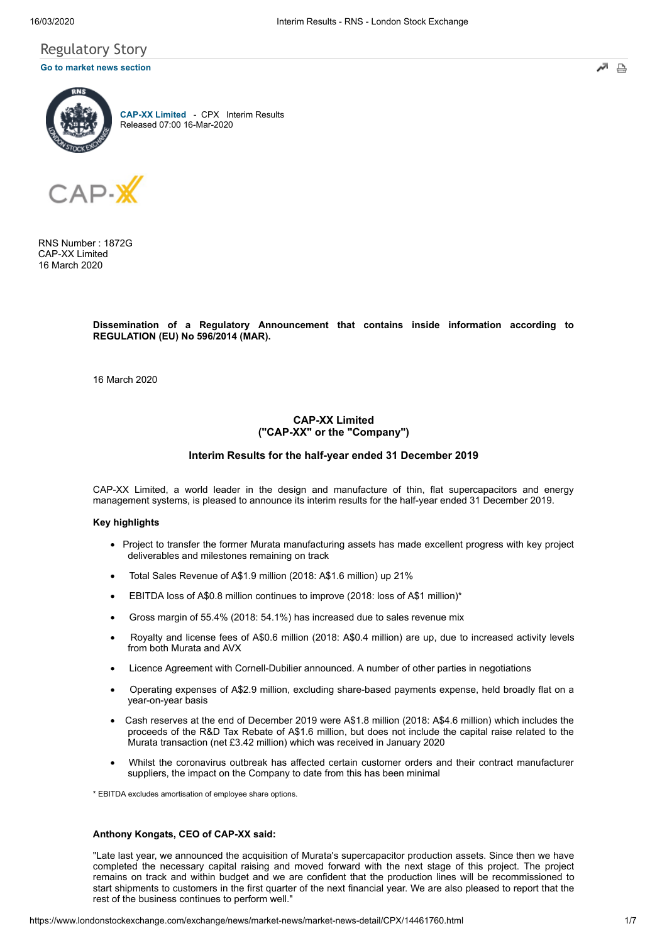# Regulatory Story **[Go to market news section](javascript: sendto()**



**[CAP-XX Limited](https://www.londonstockexchange.com/exchange/prices-and-markets/stocks/summary/company-summary-via-tidm.html?tidm=CPX)** - CPX Interim Results Released 07:00 16-Mar-2020



RNS Number : 1872G CAP-XX Limited 16 March 2020

#### **Dissemination of a Regulatory Announcement that contains inside information according to REGULATION (EU) No 596/2014 (MAR).**

16 March 2020

#### **CAP-XX Limited ("CAP-XX" or the "Company")**

#### **Interim Results for the half-year ended 31 December 2019**

CAP-XX Limited, a world leader in the design and manufacture of thin, flat supercapacitors and energy management systems, is pleased to announce its interim results for the half-year ended 31 December 2019.

#### **Key highlights**

- · Project to transfer the former Murata manufacturing assets has made excellent progress with key project deliverables and milestones remaining on track
- · Total Sales Revenue of A\$1.9 million (2018: A\$1.6 million) up 21%
- EBITDA loss of A\$0.8 million continues to improve (2018: loss of A\$1 million)\*
- Gross margin of 55.4% (2018: 54.1%) has increased due to sales revenue mix
- · Royalty and license fees of A\$0.6 million (2018: A\$0.4 million) are up, due to increased activity levels from both Murata and AVX
- Licence Agreement with Cornell-Dubilier announced. A number of other parties in negotiations
- · Operating expenses of A\$2.9 million, excluding share-based payments expense, held broadly flat on a year-on-year basis
- · Cash reserves at the end of December 2019 were A\$1.8 million (2018: A\$4.6 million) which includes the proceeds of the R&D Tax Rebate of A\$1.6 million, but does not include the capital raise related to the Murata transaction (net £3.42 million) which was received in January 2020
- · Whilst the coronavirus outbreak has affected certain customer orders and their contract manufacturer suppliers, the impact on the Company to date from this has been minimal

\* EBITDA excludes amortisation of employee share options.

#### **Anthony Kongats, CEO of CAP-XX said:**

"Late last year, we announced the acquisition of Murata's supercapacitor production assets. Since then we have completed the necessary capital raising and moved forward with the next stage of this project. The project remains on track and within budget and we are confident that the production lines will be recommissioned to start shipments to customers in the first quarter of the next financial year. We are also pleased to report that the rest of the business continues to perform well."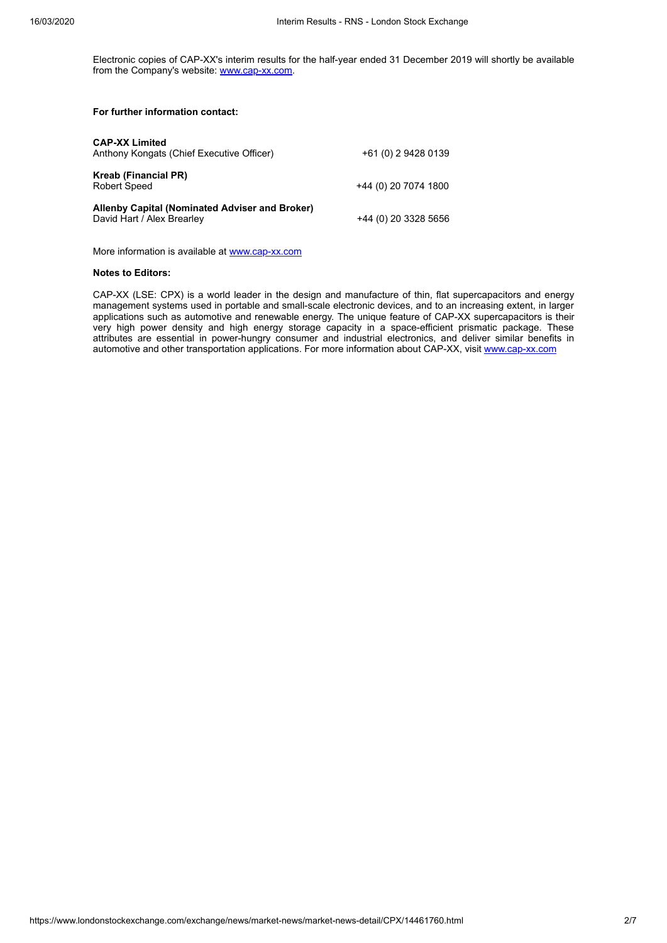Electronic copies of CAP-XX's interim results for the half-year ended 31 December 2019 will shortly be available from the Company's website: [www.cap-xx.com.](http://www.cap-xx.com/)

### **For further information contact:**

| <b>CAP-XX Limited</b><br>Anthony Kongats (Chief Executive Officer)           | $+61(0)$ 2 9428 0139 |
|------------------------------------------------------------------------------|----------------------|
| <b>Kreab (Financial PR)</b><br><b>Robert Speed</b>                           | +44 (0) 20 7074 1800 |
| Allenby Capital (Nominated Adviser and Broker)<br>David Hart / Alex Brearley | +44 (0) 20 3328 5656 |

More information is available at [www.cap-xx.com](http://www.cap-xx.com/)

#### **Notes to Editors:**

CAP-XX (LSE: CPX) is a world leader in the design and manufacture of thin, flat supercapacitors and energy management systems used in portable and small-scale electronic devices, and to an increasing extent, in larger applications such as automotive and renewable energy. The unique feature of CAP-XX supercapacitors is their very high power density and high energy storage capacity in a space-efficient prismatic package. These attributes are essential in power-hungry consumer and industrial electronics, and deliver similar benefits in automotive and other transportation applications. For more information about CAP-XX, visit [www.cap-xx.com](http://www.cap-xx.com/)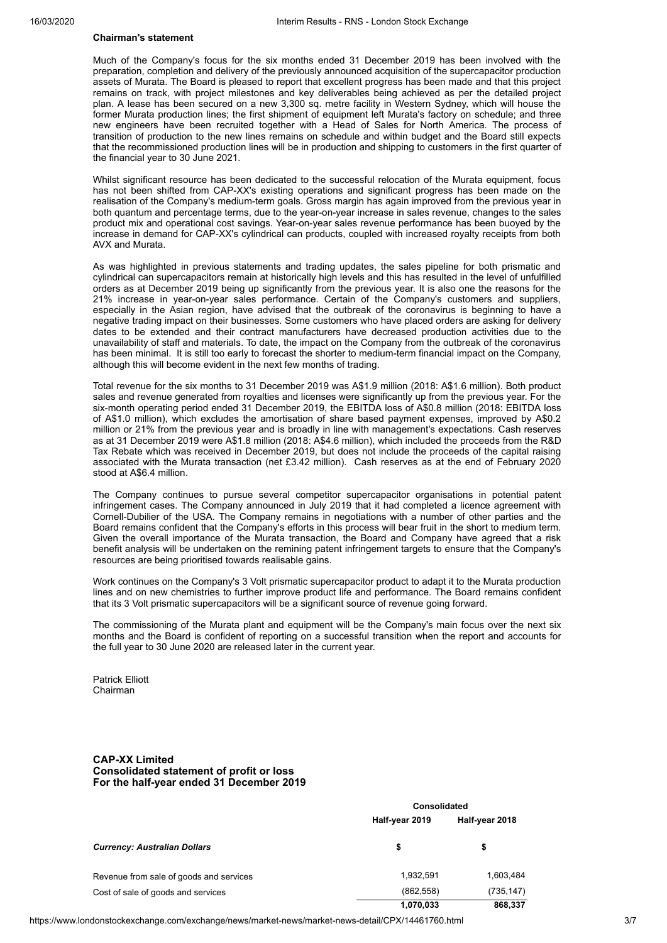#### **Chairman's statement**

Much of the Company's focus for the six months ended 31 December 2019 has been involved with the preparation, completion and delivery of the previously announced acquisition of the supercapacitor production assets of Murata. The Board is pleased to report that excellent progress has been made and that this project remains on track, with project milestones and key deliverables being achieved as per the detailed project plan. A lease has been secured on a new 3,300 sq. metre facility in Western Sydney, which will house the former Murata production lines; the first shipment of equipment left Murata's factory on schedule; and three new engineers have been recruited together with a Head of Sales for North America. The process of transition of production to the new lines remains on schedule and within budget and the Board still expects that the recommissioned production lines will be in production and shipping to customers in the first quarter of the financial year to 30 June 2021.

Whilst significant resource has been dedicated to the successful relocation of the Murata equipment, focus has not been shifted from CAP-XX's existing operations and significant progress has been made on the realisation of the Company's medium-term goals. Gross margin has again improved from the previous year in both quantum and percentage terms, due to the year-on-year increase in sales revenue, changes to the sales product mix and operational cost savings. Year-on-year sales revenue performance has been buoyed by the increase in demand for CAP-XX's cylindrical can products, coupled with increased royalty receipts from both AVX and Murata.

As was highlighted in previous statements and trading updates, the sales pipeline for both prismatic and cylindrical can supercapacitors remain at historically high levels and this has resulted in the level of unfulfilled orders as at December 2019 being up significantly from the previous year. It is also one the reasons for the 21% increase in year-on-year sales performance. Certain of the Company's customers and suppliers, especially in the Asian region, have advised that the outbreak of the coronavirus is beginning to have a negative trading impact on their businesses. Some customers who have placed orders are asking for delivery dates to be extended and their contract manufacturers have decreased production activities due to the unavailability of staff and materials. To date, the impact on the Company from the outbreak of the coronavirus has been minimal. It is still too early to forecast the shorter to medium-term financial impact on the Company, although this will become evident in the next few months of trading.

Total revenue for the six months to 31 December 2019 was A\$1.9 million (2018: A\$1.6 million). Both product sales and revenue generated from royalties and licenses were significantly up from the previous year. For the six-month operating period ended 31 December 2019, the EBITDA loss of A\$0.8 million (2018: EBITDA loss of A\$1.0 million), which excludes the amortisation of share based payment expenses, improved by A\$0.2 million or 21% from the previous year and is broadly in line with management's expectations. Cash reserves as at 31 December 2019 were A\$1.8 million (2018: A\$4.6 million), which included the proceeds from the R&D Tax Rebate which was received in December 2019, but does not include the proceeds of the capital raising associated with the Murata transaction (net £3.42 million). Cash reserves as at the end of February 2020 stood at A\$6.4 million.

The Company continues to pursue several competitor supercapacitor organisations in potential patent infringement cases. The Company announced in July 2019 that it had completed a licence agreement with Cornell-Dubilier of the USA. The Company remains in negotiations with a number of other parties and the Board remains confident that the Company's efforts in this process will bear fruit in the short to medium term. Given the overall importance of the Murata transaction, the Board and Company have agreed that a risk benefit analysis will be undertaken on the remining patent infringement targets to ensure that the Company's resources are being prioritised towards realisable gains.

Work continues on the Company's 3 Volt prismatic supercapacitor product to adapt it to the Murata production lines and on new chemistries to further improve product life and performance. The Board remains confident that its 3 Volt prismatic supercapacitors will be a significant source of revenue going forward.

The commissioning of the Murata plant and equipment will be the Company's main focus over the next six months and the Board is confident of reporting on a successful transition when the report and accounts for the full year to 30 June 2020 are released later in the current year.

Patrick Elliott Chairman

**CAP-XX Limited Consolidated statement of profit or loss For the half-year ended 31 December 2019**

|                                         | <b>Consolidated</b> |                |  |
|-----------------------------------------|---------------------|----------------|--|
|                                         | Half-year 2019      | Half-year 2018 |  |
| <b>Currency: Australian Dollars</b>     | \$                  | \$             |  |
| Revenue from sale of goods and services | 1,932,591           | 1,603,484      |  |
| Cost of sale of goods and services      | (862, 558)          | (735, 147)     |  |
|                                         | 1,070,033           | 868,337        |  |

https://www.londonstockexchange.com/exchange/news/market-news/market-news-detail/CPX/14461760.html 3/7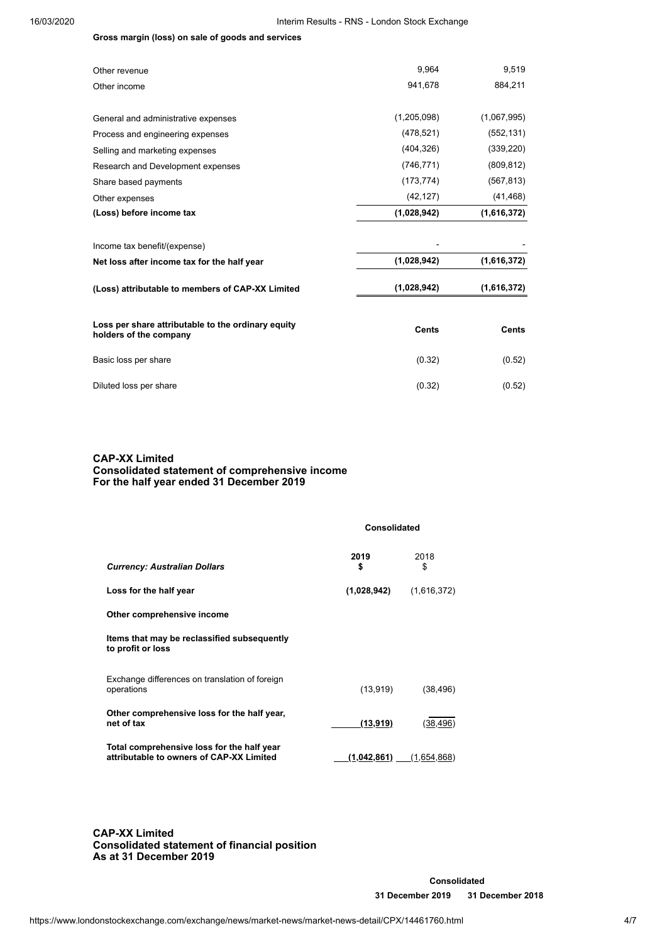#### **Gross margin (loss) on sale of goods and services**

| Other revenue                       | 9.964       | 9,519       |
|-------------------------------------|-------------|-------------|
| Other income                        | 941.678     | 884,211     |
|                                     |             |             |
| General and administrative expenses | (1,205,098) | (1,067,995) |
| Process and engineering expenses    | (478, 521)  | (552, 131)  |
| Selling and marketing expenses      | (404, 326)  | (339,220)   |
| Research and Development expenses   | (746, 771)  | (809, 812)  |
| Share based payments                | (173, 774)  | (567,813)   |
| Other expenses                      | (42, 127)   | (41, 468)   |
| (Loss) before income tax            | (1,028,942) | (1,616,372) |

| Income tax benefit/(expense)                                                 |             |              |
|------------------------------------------------------------------------------|-------------|--------------|
| Net loss after income tax for the half year                                  | (1,028,942) | (1,616,372)  |
| (Loss) attributable to members of CAP-XX Limited                             | (1,028,942) | (1,616,372)  |
| Loss per share attributable to the ordinary equity<br>holders of the company | Cents       | <b>Cents</b> |
| Basic loss per share                                                         | (0.32)      | (0.52)       |
| Diluted loss per share                                                       | (0.32)      | (0.52)       |

### **CAP-XX Limited Consolidated statement of comprehensive income For the half year ended 31 December 2019**

|                                                                                        | Consolidated |             |  |
|----------------------------------------------------------------------------------------|--------------|-------------|--|
| <b>Currency: Australian Dollars</b>                                                    | 2019<br>\$   | 2018<br>\$  |  |
| Loss for the half year                                                                 | (1,028,942)  | (1,616,372) |  |
| Other comprehensive income                                                             |              |             |  |
| Items that may be reclassified subsequently<br>to profit or loss                       |              |             |  |
| Exchange differences on translation of foreign<br>operations                           | (13,919)     | (38, 496)   |  |
| Other comprehensive loss for the half year,<br>net of tax                              | (13,919)     | (38, 496)   |  |
| Total comprehensive loss for the half year<br>attributable to owners of CAP-XX Limited | (1,042,861)  | (1,654,868) |  |

**CAP-XX Limited Consolidated statement of financial position As at 31 December 2019**

> **Consolidated 31 December 2019 31 December 2018**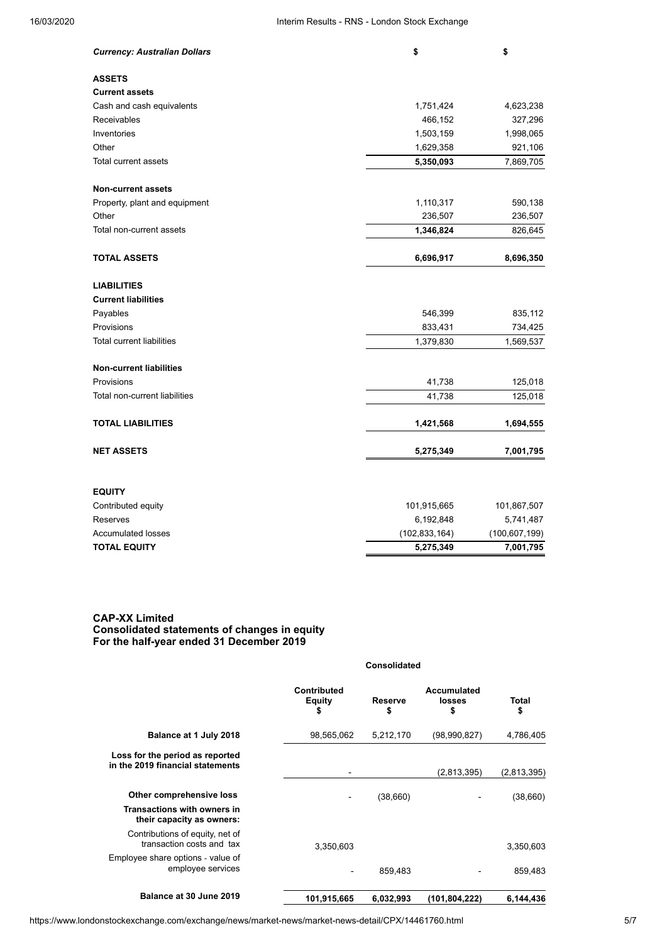| <b>Currency: Australian Dollars</b> | \$              | \$              |
|-------------------------------------|-----------------|-----------------|
| <b>ASSETS</b>                       |                 |                 |
| <b>Current assets</b>               |                 |                 |
| Cash and cash equivalents           | 1,751,424       | 4,623,238       |
| Receivables                         | 466,152         | 327,296         |
| Inventories                         | 1,503,159       | 1,998,065       |
| Other                               | 1,629,358       | 921,106         |
| Total current assets                | 5,350,093       | 7,869,705       |
| <b>Non-current assets</b>           |                 |                 |
| Property, plant and equipment       | 1,110,317       | 590,138         |
| Other                               | 236,507         | 236,507         |
| Total non-current assets            | 1,346,824       | 826,645         |
| <b>TOTAL ASSETS</b>                 | 6,696,917       | 8,696,350       |
| <b>LIABILITIES</b>                  |                 |                 |
| <b>Current liabilities</b>          |                 |                 |
| Payables                            | 546,399         | 835,112         |
| Provisions                          | 833,431         | 734,425         |
| <b>Total current liabilities</b>    | 1,379,830       | 1,569,537       |
| <b>Non-current liabilities</b>      |                 |                 |
| Provisions                          | 41,738          | 125,018         |
| Total non-current liabilities       | 41,738          | 125,018         |
| <b>TOTAL LIABILITIES</b>            | 1,421,568       | 1,694,555       |
| <b>NET ASSETS</b>                   | 5,275,349       | 7,001,795       |
|                                     |                 |                 |
| <b>EQUITY</b>                       |                 |                 |
| Contributed equity                  | 101,915,665     | 101,867,507     |
| Reserves                            | 6,192,848       | 5,741,487       |
| <b>Accumulated losses</b>           | (102, 833, 164) | (100, 607, 199) |
| <b>TOTAL EQUITY</b>                 | 5,275,349       | 7,001,795       |

#### **CAP-XX Limited Consolidated statements of changes in equity For the half-year ended 31 December 2019**

|                                                                                      | <b>Contributed</b><br><b>Equity</b><br>\$ | Reserve<br>\$ | Accumulated<br>losses<br>\$ | Total<br>\$ |
|--------------------------------------------------------------------------------------|-------------------------------------------|---------------|-----------------------------|-------------|
| Balance at 1 July 2018                                                               | 98,565,062                                | 5,212,170     | (98,990,827)                | 4,786,405   |
| Loss for the period as reported<br>in the 2019 financial statements                  |                                           |               | (2,813,395)                 | (2,813,395) |
| Other comprehensive loss<br>Transactions with owners in<br>their capacity as owners: |                                           | (38,660)      |                             | (38,660)    |
| Contributions of equity, net of<br>transaction costs and tax                         | 3,350,603                                 |               |                             | 3,350,603   |
| Employee share options - value of<br>employee services                               |                                           | 859,483       |                             | 859,483     |
| Balance at 30 June 2019                                                              | 101,915,665                               | 6,032,993     | (101,804,222)               | 6,144,436   |

## **Consolidated**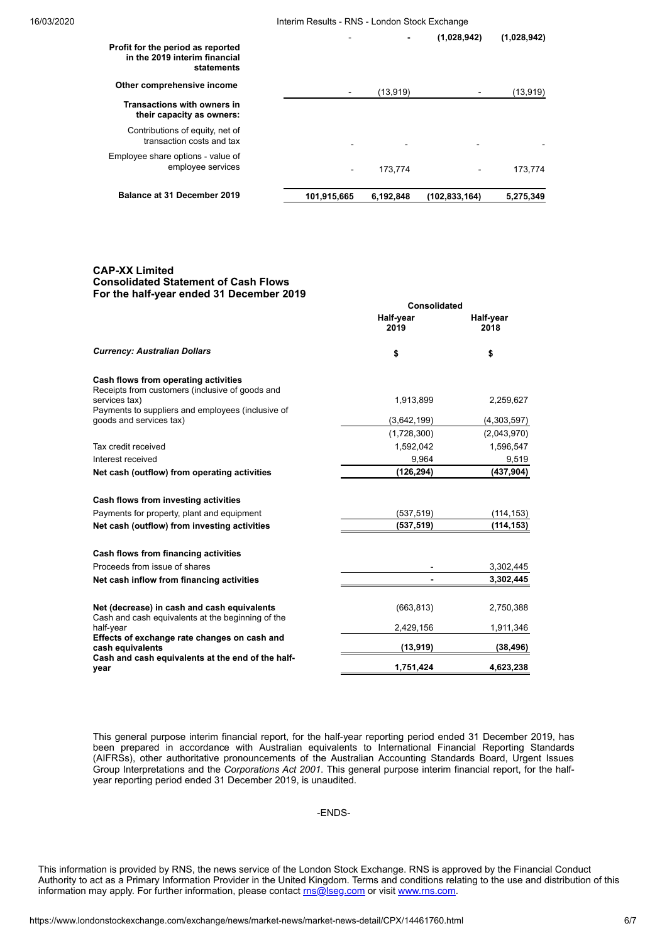#### 16/03/2020 Interim Results - RNS - London Stock Exchange

| Profit for the period as reported<br>in the 2019 interim financial<br>statements |             |                          | (1,028,942)     | (1,028,942) |
|----------------------------------------------------------------------------------|-------------|--------------------------|-----------------|-------------|
| Other comprehensive income                                                       |             | (13,919)                 |                 | (13, 919)   |
| Transactions with owners in<br>their capacity as owners:                         |             |                          |                 |             |
| Contributions of equity, net of<br>transaction costs and tax                     | ۰           | $\overline{\phantom{0}}$ |                 |             |
| Employee share options - value of<br>employee services                           | -           | 173.774                  |                 | 173.774     |
| Balance at 31 December 2019                                                      | 101,915,665 | 6.192.848                | (102, 833, 164) | 5.275.349   |

#### **CAP-XX Limited Consolidated Statement of Cash Flows For the half-year ended 31 December 2019**

|                                                                              | <b>Consolidated</b> |                   |  |
|------------------------------------------------------------------------------|---------------------|-------------------|--|
|                                                                              | Half-year<br>2019   | Half-year<br>2018 |  |
| <b>Currency: Australian Dollars</b>                                          | \$                  | \$                |  |
| Cash flows from operating activities                                         |                     |                   |  |
| Receipts from customers (inclusive of goods and                              |                     |                   |  |
| services tax)                                                                | 1,913,899           | 2,259,627         |  |
| Payments to suppliers and employees (inclusive of<br>goods and services tax) | (3,642,199)         | (4,303,597)       |  |
|                                                                              | (1,728,300)         | (2,043,970)       |  |
| Tax credit received                                                          | 1,592,042           | 1,596,547         |  |
| Interest received                                                            | 9,964               | 9,519             |  |
| Net cash (outflow) from operating activities                                 | (126, 294)          | (437, 904)        |  |
| Cash flows from investing activities                                         |                     |                   |  |
| Payments for property, plant and equipment                                   | (537, 519)          | (114, 153)        |  |
| Net cash (outflow) from investing activities                                 | (537, 519)          | (114, 153)        |  |
| Cash flows from financing activities                                         |                     |                   |  |
| Proceeds from issue of shares                                                |                     | 3,302,445         |  |
| Net cash inflow from financing activities                                    |                     | 3,302,445         |  |
| Net (decrease) in cash and cash equivalents                                  | (663, 813)          | 2,750,388         |  |
| Cash and cash equivalents at the beginning of the                            |                     |                   |  |
| half-year                                                                    | 2,429,156           | 1,911,346         |  |
| Effects of exchange rate changes on cash and<br>cash equivalents             | (13,919)            | (38, 496)         |  |
| Cash and cash equivalents at the end of the half-<br>year                    | 1,751,424           | 4,623,238         |  |

This general purpose interim financial report, for the half-year reporting period ended 31 December 2019, has been prepared in accordance with Australian equivalents to International Financial Reporting Standards (AIFRSs), other authoritative pronouncements of the Australian Accounting Standards Board, Urgent Issues Group Interpretations and the *Corporations Act 2001*. This general purpose interim financial report, for the halfyear reporting period ended 31 December 2019, is unaudited.

### -ENDS-

This information is provided by RNS, the news service of the London Stock Exchange. RNS is approved by the Financial Conduct Authority to act as a Primary Information Provider in the United Kingdom. Terms and conditions relating to the use and distribution of this information may apply. For further information, please contact [rns@lseg.com](mailto:rns@lseg.com) or visit [www.rns.com.](http://www.rns.com/)